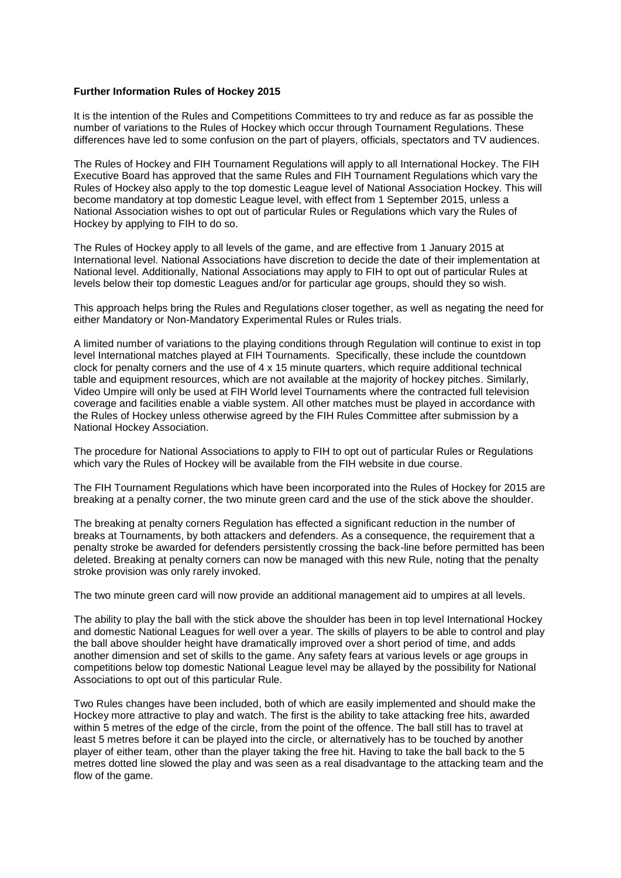# **Further Information Rules of Hockey 2015**

It is the intention of the Rules and Competitions Committees to try and reduce as far as possible the number of variations to the Rules of Hockey which occur through Tournament Regulations. These differences have led to some confusion on the part of players, officials, spectators and TV audiences.

The Rules of Hockey and FIH Tournament Regulations will apply to all International Hockey. The FIH Executive Board has approved that the same Rules and FIH Tournament Regulations which vary the Rules of Hockey also apply to the top domestic League level of National Association Hockey. This will become mandatory at top domestic League level, with effect from 1 September 2015, unless a National Association wishes to opt out of particular Rules or Regulations which vary the Rules of Hockey by applying to FIH to do so.

The Rules of Hockey apply to all levels of the game, and are effective from 1 January 2015 at International level. National Associations have discretion to decide the date of their implementation at National level. Additionally, National Associations may apply to FIH to opt out of particular Rules at levels below their top domestic Leagues and/or for particular age groups, should they so wish.

This approach helps bring the Rules and Regulations closer together, as well as negating the need for either Mandatory or Non-Mandatory Experimental Rules or Rules trials.

A limited number of variations to the playing conditions through Regulation will continue to exist in top level International matches played at FIH Tournaments. Specifically, these include the countdown clock for penalty corners and the use of 4 x 15 minute quarters, which require additional technical table and equipment resources, which are not available at the majority of hockey pitches. Similarly, Video Umpire will only be used at FIH World level Tournaments where the contracted full television coverage and facilities enable a viable system. All other matches must be played in accordance with the Rules of Hockey unless otherwise agreed by the FIH Rules Committee after submission by a National Hockey Association.

The procedure for National Associations to apply to FIH to opt out of particular Rules or Regulations which vary the Rules of Hockey will be available from the FIH website in due course.

The FIH Tournament Regulations which have been incorporated into the Rules of Hockey for 2015 are breaking at a penalty corner, the two minute green card and the use of the stick above the shoulder.

The breaking at penalty corners Regulation has effected a significant reduction in the number of breaks at Tournaments, by both attackers and defenders. As a consequence, the requirement that a penalty stroke be awarded for defenders persistently crossing the back-line before permitted has been deleted. Breaking at penalty corners can now be managed with this new Rule, noting that the penalty stroke provision was only rarely invoked.

The two minute green card will now provide an additional management aid to umpires at all levels.

The ability to play the ball with the stick above the shoulder has been in top level International Hockey and domestic National Leagues for well over a year. The skills of players to be able to control and play the ball above shoulder height have dramatically improved over a short period of time, and adds another dimension and set of skills to the game. Any safety fears at various levels or age groups in competitions below top domestic National League level may be allayed by the possibility for National Associations to opt out of this particular Rule.

Two Rules changes have been included, both of which are easily implemented and should make the Hockey more attractive to play and watch. The first is the ability to take attacking free hits, awarded within 5 metres of the edge of the circle, from the point of the offence. The ball still has to travel at least 5 metres before it can be played into the circle, or alternatively has to be touched by another player of either team, other than the player taking the free hit. Having to take the ball back to the 5 metres dotted line slowed the play and was seen as a real disadvantage to the attacking team and the flow of the game.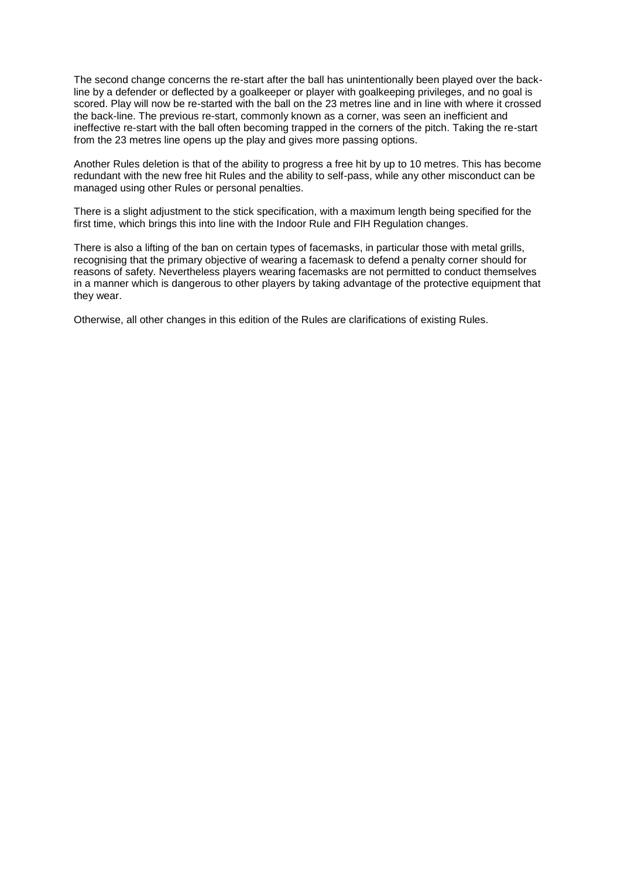The second change concerns the re-start after the ball has unintentionally been played over the backline by a defender or deflected by a goalkeeper or player with goalkeeping privileges, and no goal is scored. Play will now be re-started with the ball on the 23 metres line and in line with where it crossed the back-line. The previous re-start, commonly known as a corner, was seen an inefficient and ineffective re-start with the ball often becoming trapped in the corners of the pitch. Taking the re-start from the 23 metres line opens up the play and gives more passing options.

Another Rules deletion is that of the ability to progress a free hit by up to 10 metres. This has become redundant with the new free hit Rules and the ability to self-pass, while any other misconduct can be managed using other Rules or personal penalties.

There is a slight adjustment to the stick specification, with a maximum length being specified for the first time, which brings this into line with the Indoor Rule and FIH Regulation changes.

There is also a lifting of the ban on certain types of facemasks, in particular those with metal grills, recognising that the primary objective of wearing a facemask to defend a penalty corner should for reasons of safety. Nevertheless players wearing facemasks are not permitted to conduct themselves in a manner which is dangerous to other players by taking advantage of the protective equipment that they wear.

Otherwise, all other changes in this edition of the Rules are clarifications of existing Rules.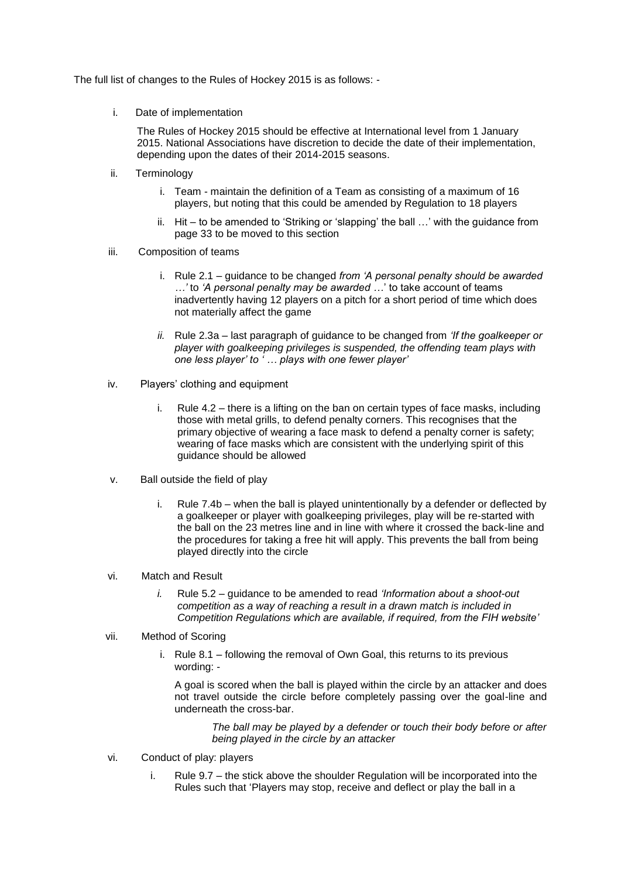The full list of changes to the Rules of Hockey 2015 is as follows: -

i. Date of implementation

The Rules of Hockey 2015 should be effective at International level from 1 January 2015. National Associations have discretion to decide the date of their implementation, depending upon the dates of their 2014-2015 seasons.

- ii. Terminology
	- i. Team maintain the definition of a Team as consisting of a maximum of 16 players, but noting that this could be amended by Regulation to 18 players
	- ii. Hit to be amended to 'Striking or 'slapping' the ball …' with the guidance from page 33 to be moved to this section
- iii. Composition of teams
	- i. Rule 2.1 guidance to be changed *from 'A personal penalty should be awarded …'* to *'A personal penalty may be awarded …*' to take account of teams inadvertently having 12 players on a pitch for a short period of time which does not materially affect the game
	- *ii.* Rule 2.3a last paragraph of guidance to be changed from *'If the goalkeeper or player with goalkeeping privileges is suspended, the offending team plays with one less player' to ' … plays with one fewer player'*
- iv. Players' clothing and equipment
	- i. Rule 4.2 there is a lifting on the ban on certain types of face masks, including those with metal grills, to defend penalty corners. This recognises that the primary objective of wearing a face mask to defend a penalty corner is safety; wearing of face masks which are consistent with the underlying spirit of this guidance should be allowed
- v. Ball outside the field of play
	- i. Rule 7.4b when the ball is played unintentionally by a defender or deflected by a goalkeeper or player with goalkeeping privileges, play will be re-started with the ball on the 23 metres line and in line with where it crossed the back-line and the procedures for taking a free hit will apply. This prevents the ball from being played directly into the circle
- vi. Match and Result
	- *i.* Rule 5.2 guidance to be amended to read *'Information about a shoot-out competition as a way of reaching a result in a drawn match is included in Competition Regulations which are available, if required, from the FIH website'*

# vii. Method of Scoring

i. Rule 8.1 – following the removal of Own Goal, this returns to its previous wording: -

A goal is scored when the ball is played within the circle by an attacker and does not travel outside the circle before completely passing over the goal-line and underneath the cross-bar.

*The ball may be played by a defender or touch their body before or after being played in the circle by an attacker*

- vi. Conduct of play: players
	- i. Rule 9.7 the stick above the shoulder Regulation will be incorporated into the Rules such that 'Players may stop, receive and deflect or play the ball in a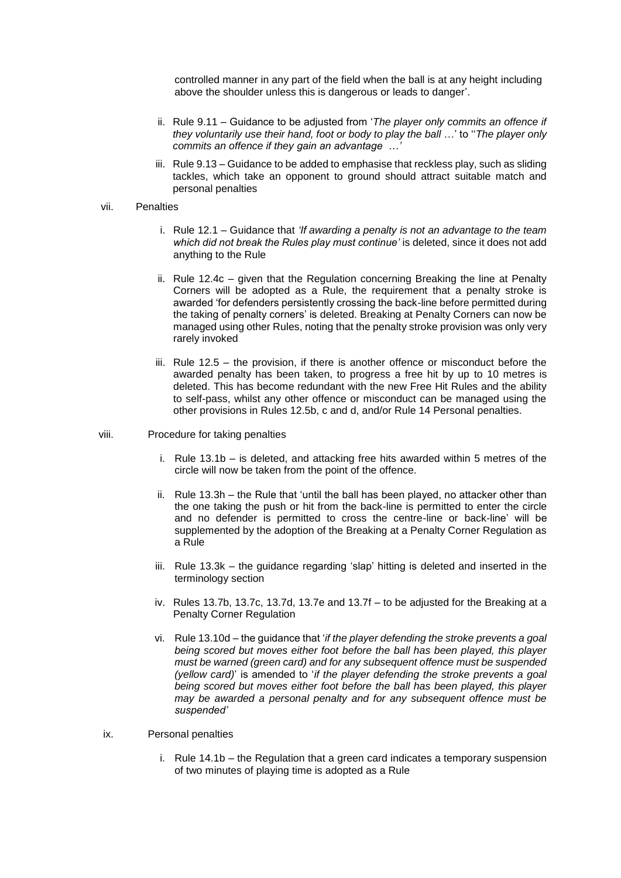controlled manner in any part of the field when the ball is at any height including above the shoulder unless this is dangerous or leads to danger'.

- ii. Rule 9.11 Guidance to be adjusted from '*The player only commits an offence if they voluntarily use their hand, foot or body to play the ball* …' to ''*The player only commits an offence if they gain an advantage …'*
- iii. Rule 9.13 Guidance to be added to emphasise that reckless play, such as sliding tackles, which take an opponent to ground should attract suitable match and personal penalties

### vii. Penalties

- i. Rule 12.1 Guidance that *'If awarding a penalty is not an advantage to the team which did not break the Rules play must continue'* is deleted, since it does not add anything to the Rule
- ii. Rule 12.4c given that the Regulation concerning Breaking the line at Penalty Corners will be adopted as a Rule, the requirement that a penalty stroke is awarded 'for defenders persistently crossing the back-line before permitted during the taking of penalty corners' is deleted. Breaking at Penalty Corners can now be managed using other Rules, noting that the penalty stroke provision was only very rarely invoked
- iii. Rule 12.5 the provision, if there is another offence or misconduct before the awarded penalty has been taken, to progress a free hit by up to 10 metres is deleted. This has become redundant with the new Free Hit Rules and the ability to self-pass, whilst any other offence or misconduct can be managed using the other provisions in Rules 12.5b, c and d, and/or Rule 14 Personal penalties.

#### viii. Procedure for taking penalties

- i. Rule 13.1b is deleted, and attacking free hits awarded within 5 metres of the circle will now be taken from the point of the offence.
- ii. Rule 13.3h the Rule that 'until the ball has been played, no attacker other than the one taking the push or hit from the back-line is permitted to enter the circle and no defender is permitted to cross the centre-line or back-line' will be supplemented by the adoption of the Breaking at a Penalty Corner Regulation as a Rule
- iii. Rule 13.3k the guidance regarding 'slap' hitting is deleted and inserted in the terminology section
- iv. Rules 13.7b, 13.7c, 13.7d, 13.7e and 13.7f to be adjusted for the Breaking at a Penalty Corner Regulation
- vi. Rule 13.10d the guidance that '*if the player defending the stroke prevents a goal being scored but moves either foot before the ball has been played, this player must be warned (green card) and for any subsequent offence must be suspended (yellow card)*' is amended to '*if the player defending the stroke prevents a goal being scored but moves either foot before the ball has been played, this player may be awarded a personal penalty and for any subsequent offence must be suspended'*

### ix. Personal penalties

i. Rule 14.1b – the Regulation that a green card indicates a temporary suspension of two minutes of playing time is adopted as a Rule